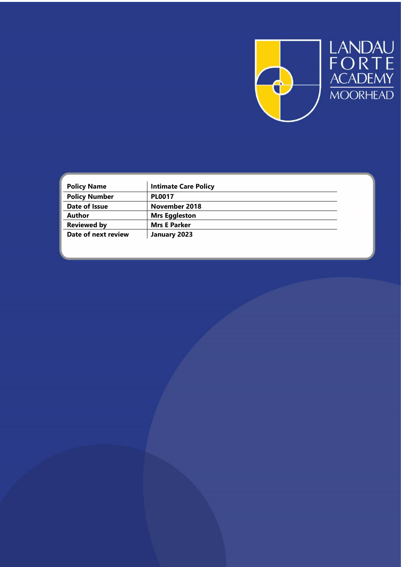

LANDAU<br>FORTE<br>ACADEMY<br>MOORHEAD

| <b>Policy Name</b>   | <b>Intimate Care Policy</b> |  |
|----------------------|-----------------------------|--|
| <b>Policy Number</b> | <b>PL0017</b>               |  |
| Date of Issue        | November 2018               |  |
| <b>Author</b>        | <b>Mrs Eggleston</b>        |  |
| <b>Reviewed by</b>   | <b>Mrs E Parker</b>         |  |
| Date of next review  | January 2023                |  |
|                      |                             |  |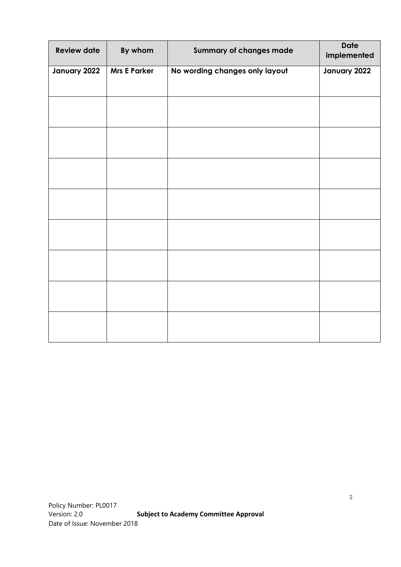| <b>Review date</b> | By whom             | <b>Summary of changes made</b> | <b>Date</b><br>implemented |
|--------------------|---------------------|--------------------------------|----------------------------|
| January 2022       | <b>Mrs E Parker</b> | No wording changes only layout | January 2022               |
|                    |                     |                                |                            |
|                    |                     |                                |                            |
|                    |                     |                                |                            |
|                    |                     |                                |                            |
|                    |                     |                                |                            |
|                    |                     |                                |                            |
|                    |                     |                                |                            |
|                    |                     |                                |                            |
|                    |                     |                                |                            |
|                    |                     |                                |                            |
|                    |                     |                                |                            |
|                    |                     |                                |                            |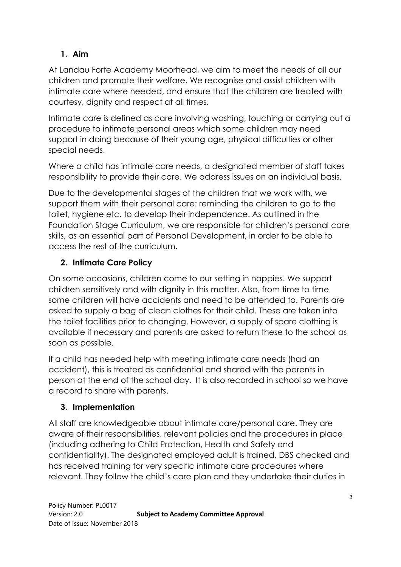## **1. Aim**

At Landau Forte Academy Moorhead, we aim to meet the needs of all our children and promote their welfare. We recognise and assist children with intimate care where needed, and ensure that the children are treated with courtesy, dignity and respect at all times.

Intimate care is defined as care involving washing, touching or carrying out a procedure to intimate personal areas which some children may need support in doing because of their young age, physical difficulties or other special needs.

Where a child has intimate care needs, a designated member of staff takes responsibility to provide their care. We address issues on an individual basis.

Due to the developmental stages of the children that we work with, we support them with their personal care: reminding the children to go to the toilet, hygiene etc. to develop their independence. As outlined in the Foundation Stage Curriculum, we are responsible for children's personal care skills, as an essential part of Personal Development, in order to be able to access the rest of the curriculum.

## **2. Intimate Care Policy**

On some occasions, children come to our setting in nappies. We support children sensitively and with dignity in this matter. Also, from time to time some children will have accidents and need to be attended to. Parents are asked to supply a bag of clean clothes for their child. These are taken into the toilet facilities prior to changing. However, a supply of spare clothing is available if necessary and parents are asked to return these to the school as soon as possible.

If a child has needed help with meeting intimate care needs (had an accident), this is treated as confidential and shared with the parents in person at the end of the school day. It is also recorded in school so we have a record to share with parents.

### **3. Implementation**

All staff are knowledgeable about intimate care/personal care. They are aware of their responsibilities, relevant policies and the procedures in place (including adhering to Child Protection, Health and Safety and confidentiality). The designated employed adult is trained, DBS checked and has received training for very specific intimate care procedures where relevant. They follow the child's care plan and they undertake their duties in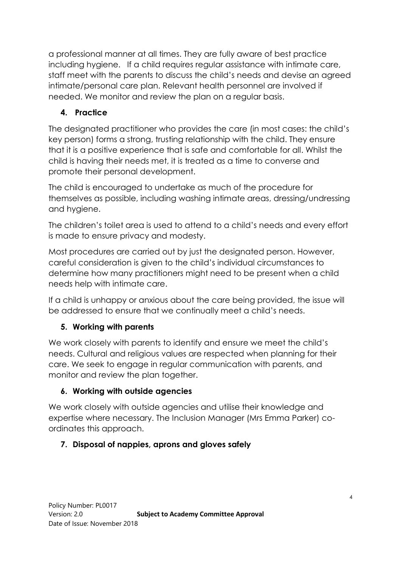a professional manner at all times. They are fully aware of best practice including hygiene. If a child requires regular assistance with intimate care, staff meet with the parents to discuss the child's needs and devise an agreed intimate/personal care plan. Relevant health personnel are involved if needed. We monitor and review the plan on a regular basis.

## **4. Practice**

The designated practitioner who provides the care (in most cases: the child's key person) forms a strong, trusting relationship with the child. They ensure that it is a positive experience that is safe and comfortable for all. Whilst the child is having their needs met, it is treated as a time to converse and promote their personal development.

The child is encouraged to undertake as much of the procedure for themselves as possible, including washing intimate areas, dressing/undressing and hygiene.

The children's toilet area is used to attend to a child's needs and every effort is made to ensure privacy and modesty.

Most procedures are carried out by just the designated person. However, careful consideration is given to the child's individual circumstances to determine how many practitioners might need to be present when a child needs help with intimate care.

If a child is unhappy or anxious about the care being provided, the issue will be addressed to ensure that we continually meet a child's needs.

# **5. Working with parents**

We work closely with parents to identify and ensure we meet the child's needs. Cultural and religious values are respected when planning for their care. We seek to engage in regular communication with parents, and monitor and review the plan together.

### **6. Working with outside agencies**

We work closely with outside agencies and utilise their knowledge and expertise where necessary. The Inclusion Manager (Mrs Emma Parker) coordinates this approach.

### **7. Disposal of nappies, aprons and gloves safely**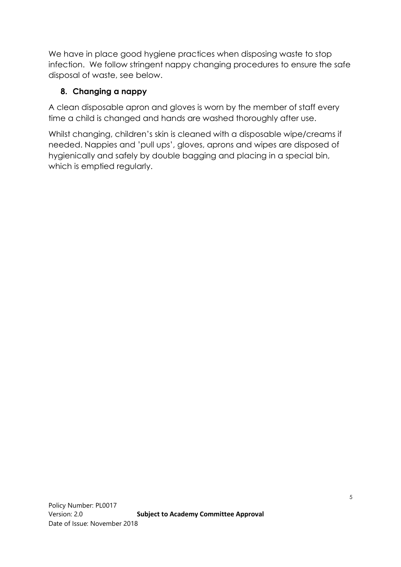We have in place good hygiene practices when disposing waste to stop infection. We follow stringent nappy changing procedures to ensure the safe disposal of waste, see below.

### **8. Changing a nappy**

A clean disposable apron and gloves is worn by the member of staff every time a child is changed and hands are washed thoroughly after use.

Whilst changing, children's skin is cleaned with a disposable wipe/creams if needed. Nappies and 'pull ups', gloves, aprons and wipes are disposed of hygienically and safely by double bagging and placing in a special bin, which is emptied regularly.